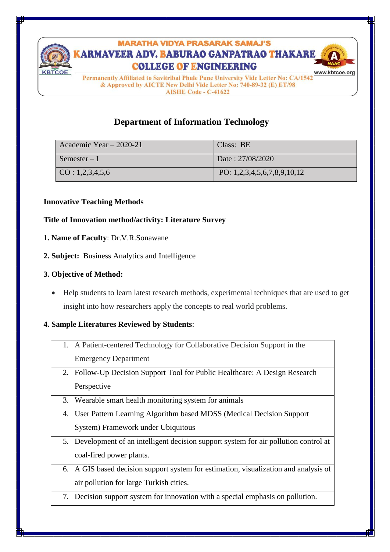

# **MARATHA VIDYA PRASARAK SAMAJ'S** ARMAVEER ADV. BABURAO GANPATRAO THAKARE **COLLEGE OF ENGINEERING**



Permanently Affiliated to Savitribai Phule Pune University Vide Letter No: CA/1542 & Approved by AICTE New Delhi Vide Letter No: 740-89-32 (E) ET/98 **AISHE Code - C-41622** 

## **Department of Information Technology**

| Academic Year $-2020-21$   | Class: BE                   |
|----------------------------|-----------------------------|
| $Semester-I$               | Date: 27/08/2020            |
| $\rm CO: 1, 2, 3, 4, 5, 6$ | PO: 1,2,3,4,5,6,7,8,9,10,12 |

#### **Innovative Teaching Methods**

## **Title of Innovation method/activity: Literature Survey**

- **1. Name of Faculty**: Dr.V.R.Sonawane
- **2. Subject:** Business Analytics and Intelligence
- **3. Objective of Method:**
	- Help students to learn latest research methods, experimental techniques that are used to get insight into how researchers apply the concepts to real world problems.

## **4. Sample Literatures Reviewed by Students**:

- 1. A Patient-centered Technology for Collaborative Decision Support in the Emergency Department
- 2. Follow-Up Decision Support Tool for Public Healthcare: A Design Research Perspective
- 3. Wearable smart health monitoring system for animals
- 4. User Pattern Learning Algorithm based MDSS (Medical Decision Support System) Framework under Ubiquitous
- 5. Development of an intelligent decision support system for air pollution control at coal-fired power plants.
- 6. A GIS based decision support system for estimation, visualization and analysis of air pollution for large Turkish cities.
- 7. Decision support system for innovation with a special emphasis on pollution.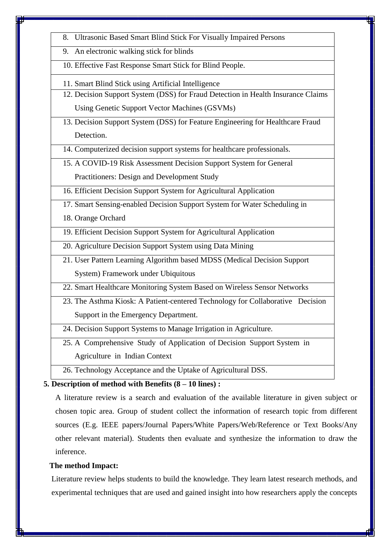- 8. Ultrasonic Based Smart Blind Stick For Visually Impaired Persons
- 9. An electronic walking stick for blinds
- 10. Effective Fast Response Smart Stick for Blind People.
- 11. Smart Blind Stick using Artificial Intelligence
- 12. Decision Support System (DSS) for Fraud Detection in Health Insurance Claims Using Genetic Support Vector Machines (GSVMs)
- 13. Decision Support System (DSS) for Feature Engineering for Healthcare Fraud Detection.
- 14. Computerized decision support systems for healthcare professionals.
- 15. A COVID-19 Risk Assessment Decision Support System for General Practitioners: Design and Development Study

16. Efficient Decision Support System for Agricultural Application

- 
- 17. Smart Sensing-enabled Decision Support System for Water Scheduling in
- 18. Orange Orchard
- 19. Efficient Decision Support System for Agricultural Application
- 20. Agriculture Decision Support System using Data Mining
- 21. User Pattern Learning Algorithm based MDSS (Medical Decision Support System) Framework under Ubiquitous
- 22. Smart Healthcare Monitoring System Based on Wireless Sensor Networks
- 23. The Asthma Kiosk: A Patient-centered Technology for Collaborative Decision Support in the Emergency Department.
- 24. Decision Support Systems to Manage Irrigation in Agriculture.
- 25. A Comprehensive Study of Application of Decision Support System in Agriculture in Indian Context
- 26. Technology Acceptance and the Uptake of Agricultural DSS.

## **5. Description of method with Benefits (8 – 10 lines) :**

A literature review is a search and evaluation of the available literature in given subject or chosen topic area. Group of student collect the information of research topic from different sources (E.g. IEEE papers/Journal Papers/White Papers/Web/Reference or Text Books/Any other relevant material). Students then evaluate and synthesize the information to draw the inference.

#### **The method Impact:**

Literature review helps students to build the knowledge. They learn latest research methods, and experimental techniques that are used and gained insight into how researchers apply the concepts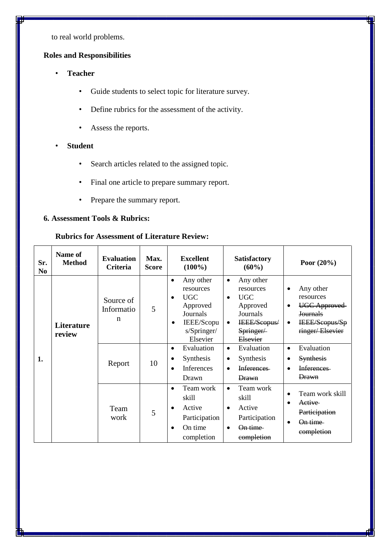to real world problems.

## **Roles and Responsibilities**

- **Teacher**
	- Guide students to select topic for literature survey.
	- Define rubrics for the assessment of the activity.
	- Assess the reports.
- **Student**
	- Search articles related to the assigned topic.
	- Final one article to prepare summary report.
	- Prepare the summary report.

#### **6. Assessment Tools & Rubrics:**

#### **Rubrics for Assessment of Literature Review:**

| Sr.<br>N <sub>0</sub> | Name of<br><b>Method</b>    | <b>Evaluation</b><br>Criteria          | Max.<br><b>Score</b> | <b>Excellent</b><br>$(100\%)$                                                                                      | <b>Satisfactory</b><br>$(60\%)$                                                                                                 | Poor $(20\%)$                                                                                                                        |
|-----------------------|-----------------------------|----------------------------------------|----------------------|--------------------------------------------------------------------------------------------------------------------|---------------------------------------------------------------------------------------------------------------------------------|--------------------------------------------------------------------------------------------------------------------------------------|
|                       | <b>Literature</b><br>review | Source of<br>Informatio<br>$\mathbf n$ | 5                    | Any other<br>$\bullet$<br>resources<br><b>UGC</b><br>Approved<br>Journals<br>IEEE/Scopu<br>s/Springer/<br>Elsevier | Any other<br>$\bullet$<br>resources<br><b>UGC</b><br>$\bullet$<br>Approved<br>Journals<br>IEEE/Scopus/<br>Springer/<br>Elsevier | Any other<br>٠<br>resources<br><b>UGC Approved</b><br>$\bullet$<br><b>Journals</b><br>IEEE/Scopus/Sp<br>$\bullet$<br>ringer/Elsevier |
| 1.                    |                             | Report                                 | 10                   | Evaluation<br>$\bullet$<br>Synthesis<br>٠<br>Inferences<br>Drawn                                                   | Evaluation<br>$\bullet$<br>Synthesis<br>٠<br><b>Inferences</b><br><b>Drawn</b>                                                  | Evaluation<br>$\bullet$<br><b>Synthesis</b><br><b>Inferences</b><br>$\bullet$<br><b>Drawn</b>                                        |
|                       |                             | Team<br>work                           | 5                    | Team work<br>skill<br>Active<br>Participation<br>On time<br>completion                                             | Team work<br>$\bullet$<br>skill<br>Active<br>$\bullet$<br>Participation<br>On time<br>$\bullet$<br>completion                   | Team work skill<br>$\bullet$<br>Active<br>Participation<br>On time<br>completion                                                     |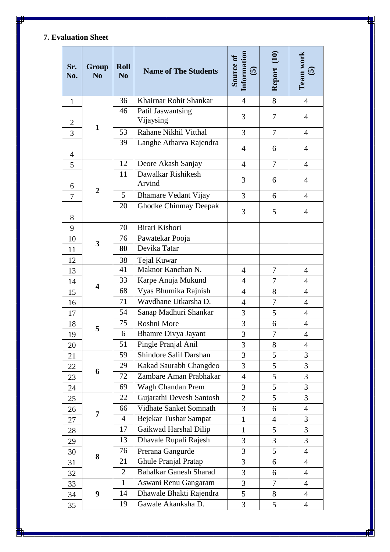## **7. Evaluation Sheet**

| Sr.<br>No.     | Group<br>N <sub>0</sub> | <b>Roll</b><br>N <sub>o</sub> | <b>Name of The Students</b>    | Information<br>Source of<br>$\boldsymbol{\widehat{\omega}}$ | Report (10)    | Team work<br>$\mathbf{v}$ |
|----------------|-------------------------|-------------------------------|--------------------------------|-------------------------------------------------------------|----------------|---------------------------|
| $\mathbf{1}$   |                         | 36                            | Khairnar Rohit Shankar         | $\overline{4}$                                              | 8              | $\overline{4}$            |
| $\overline{2}$ |                         | 46                            | Patil Jaswantsing<br>Vijaysing | 3                                                           | 7              | $\overline{4}$            |
| $\overline{3}$ | $\mathbf{1}$            | 53                            | Rahane Nikhil Vitthal          | 3                                                           | $\overline{7}$ | $\overline{4}$            |
| $\overline{4}$ |                         | 39                            | Langhe Atharva Rajendra        | 4                                                           | 6              | $\overline{4}$            |
| 5              |                         | 12                            | Deore Akash Sanjay             | $\overline{4}$                                              | $\overline{7}$ | $\overline{4}$            |
| 6              |                         | 11                            | Dawalkar Rishikesh<br>Arvind   | 3                                                           | 6              | $\overline{4}$            |
| 7              | $\overline{2}$          | 5                             | <b>Bhamare Vedant Vijay</b>    | 3                                                           | 6              | $\overline{4}$            |
| 8              |                         | 20                            | <b>Ghodke Chinmay Deepak</b>   | 3                                                           | 5              | $\overline{4}$            |
| 9              |                         | 70                            | Birari Kishori                 |                                                             |                |                           |
| 10             |                         | 76                            | Pawatekar Pooja                |                                                             |                |                           |
| 11             | 3                       | 80                            | Devika Tatar                   |                                                             |                |                           |
| 12             |                         | 38                            | Tejal Kuwar                    |                                                             |                |                           |
| 13             |                         | 41                            | Maknor Kanchan N.              | $\overline{4}$                                              | $\overline{7}$ | $\overline{4}$            |
| 14             | $\overline{\mathbf{4}}$ | 33                            | Karpe Anuja Mukund             | $\overline{4}$                                              | 7              | 4                         |
| 15             |                         | 68                            | Vyas Bhumika Rajnish           | $\overline{4}$                                              | 8              | $\overline{4}$            |
| 16             |                         | 71                            | Wavdhane Utkarsha D.           | $\overline{4}$                                              | $\overline{7}$ | 4                         |
| 17             | 5                       | 54                            | Sanap Madhuri Shankar          | 3                                                           | 5              | $\overline{4}$            |
| 18             |                         | 75                            | Roshni More                    | 3                                                           | 6              | $\overline{4}$            |
| 19             |                         | 6                             | <b>Bhamre Divya Jayant</b>     | 3                                                           | 7              | $\overline{4}$            |
| 20             |                         | 51                            | Pingle Pranjal Anil            | 3                                                           | 8              | $\overline{4}$            |
| 21             |                         |                               | Shindore Salil Darshan         | 3                                                           | 5              | 3                         |
| 22             | 6                       | 29                            | Kakad Saurabh Changdeo         | 3                                                           | 5              | 3                         |
| 23             |                         | 72                            | Zambare Aman Prabhakar         | $\overline{4}$                                              | 5              | 3                         |
| 24             |                         | 69                            | Wagh Chandan Prem              | 3                                                           | 5              | 3                         |
| 25             |                         | 22                            | Gujarathi Devesh Santosh       | $\overline{2}$                                              | 5              | 3                         |
| 26             | 7                       | 66                            | Vidhate Sanket Somnath         | 3                                                           | 6              | $\overline{4}$            |
| 27             |                         | $\overline{4}$                | Bejekar Tushar Sampat          | $\mathbf{1}$                                                | $\overline{4}$ | 3                         |
| 28             |                         | 17                            | Gaikwad Harshal Dilip          | $\mathbf{1}$                                                | 5              | 3                         |
| 29             |                         | 13                            | Dhavale Rupali Rajesh          | 3                                                           | 3              | 3                         |
| 30             | 8                       | 76                            | Prerana Gangurde               | $\overline{3}$                                              | 5              | $\overline{4}$            |
| 31             |                         | 21                            | Ghule Pranjal Pratap           | 3                                                           | 6              | $\overline{4}$            |
| 32             |                         | $\overline{2}$                | <b>Bahalkar Ganesh Sharad</b>  | 3                                                           | 6              | $\overline{4}$            |
| 33             |                         | $\mathbf{1}$                  | Aswani Renu Gangaram           | 3                                                           | $\tau$         | 4                         |
| 34             | 9                       | 14                            | Dhawale Bhakti Rajendra        | 5 <sup>5</sup>                                              | 8              | 4                         |
| 35             |                         | 19                            | Gawale Akanksha D.             | 3                                                           | 5              | $\overline{4}$            |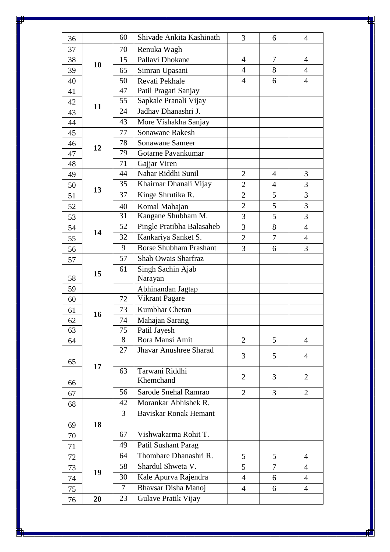| 36 |    | 60 | Shivade Ankita Kashinath                    | 3                                | 6              | $\overline{4}$                   |
|----|----|----|---------------------------------------------|----------------------------------|----------------|----------------------------------|
| 37 | 70 |    | Renuka Wagh                                 |                                  |                |                                  |
| 38 | 15 |    | Pallavi Dhokane                             | $\overline{4}$                   | $\overline{7}$ | $\overline{4}$                   |
| 39 | 10 | 65 | Simran Upasani                              | $\overline{4}$                   | 8              | $\overline{4}$                   |
| 40 |    | 50 | Revati Pekhale                              | $\overline{4}$                   | 6              | $\overline{4}$                   |
| 41 |    | 47 | Patil Pragati Sanjay                        |                                  |                |                                  |
| 42 |    | 55 | Sapkale Pranali Vijay                       |                                  |                |                                  |
| 43 | 11 | 24 | Jadhav Dhanashri J.                         |                                  |                |                                  |
| 44 |    | 43 | More Vishakha Sanjay                        |                                  |                |                                  |
| 45 |    | 77 | Sonawane Rakesh                             |                                  |                |                                  |
| 46 |    | 78 | Sonawane Sameer                             |                                  |                |                                  |
| 47 | 12 | 79 | Gotarne Pavankumar                          |                                  |                |                                  |
| 48 |    | 71 | Gajjar Viren                                |                                  |                |                                  |
| 49 |    | 44 | Nahar Riddhi Sunil                          | $\overline{2}$                   | $\overline{4}$ | 3                                |
| 50 |    | 35 | Khairnar Dhanali Vijay                      | $\overline{2}$                   | $\overline{4}$ | 3                                |
| 51 | 13 | 37 | Kinge Shrutika R.                           | 2                                | 5              | 3                                |
| 52 |    | 40 | Komal Mahajan                               | $\overline{2}$                   | 5              | 3                                |
| 53 |    | 31 | Kangane Shubham M.                          | 3                                | 5              | 3                                |
| 54 |    | 52 | Pingle Pratibha Balasaheb                   | 3                                | 8              | $\overline{4}$                   |
| 55 | 14 | 32 | Kankariya Sanket S.                         | $\overline{2}$                   | $\overline{7}$ | $\overline{4}$                   |
| 56 |    | 9  | <b>Borse Shubham Prashant</b>               | $\overline{3}$                   | 6              | 3                                |
| 57 |    | 57 | Shah Owais Sharfraz                         |                                  |                |                                  |
|    |    | 61 | Singh Sachin Ajab                           |                                  |                |                                  |
| 58 | 15 |    | Narayan                                     |                                  |                |                                  |
| 59 |    |    | Abhinandan Jagtap                           |                                  |                |                                  |
| 60 |    | 72 | Vikrant Pagare                              |                                  |                |                                  |
| 61 |    | 73 | Kumbhar Chetan                              |                                  |                |                                  |
| 62 | 16 | 74 | Mahajan Sarang                              |                                  |                |                                  |
| 63 |    | 75 | Patil Jayesh                                |                                  |                |                                  |
| 64 |    | 8  | Bora Mansi Amit                             | $\overline{2}$                   | 5              | $\overline{4}$                   |
|    |    | 27 | <b>Jhavar Anushree Sharad</b>               |                                  |                |                                  |
| 65 |    |    |                                             | 3                                | 5              | $\overline{4}$                   |
|    | 17 | 63 | Tarwani Riddhi                              |                                  |                |                                  |
| 66 |    |    | Khemchand                                   | 2                                | 3              | $\overline{2}$                   |
| 67 |    | 56 | Sarode Snehal Ramrao                        | $\overline{2}$                   | 3              | $\overline{2}$                   |
| 68 |    | 42 | Morankar Abhishek R.                        |                                  |                |                                  |
|    |    | 3  | <b>Baviskar Ronak Hemant</b>                |                                  |                |                                  |
| 69 | 18 |    |                                             |                                  |                |                                  |
| 70 |    | 67 | Vishwakarma Rohit T.                        |                                  |                |                                  |
| 71 |    | 49 | Patil Sushant Parag                         |                                  |                |                                  |
| 72 |    | 64 | Thombare Dhanashri R.                       | 5                                | 5              | 4                                |
| 73 |    | 58 | Shardul Shweta V.                           | 5                                | $\tau$         | $\overline{4}$                   |
| 74 | 19 |    |                                             |                                  |                |                                  |
|    |    | 30 |                                             |                                  |                |                                  |
| 75 |    | 7  | Kale Apurva Rajendra<br>Bhavsar Disha Manoj | $\overline{4}$<br>$\overline{4}$ | 6<br>6         | $\overline{4}$<br>$\overline{4}$ |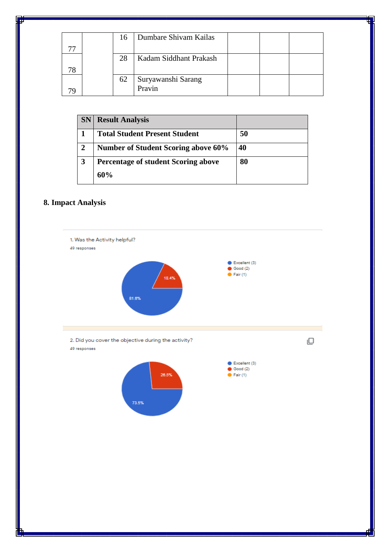|  | 16 | Dumbare Shivam Kailas  |  |  |
|--|----|------------------------|--|--|
|  |    |                        |  |  |
|  | 28 | Kadam Siddhant Prakash |  |  |
|  |    |                        |  |  |
|  | 62 | Suryawanshi Sarang     |  |  |
|  |    | Pravin                 |  |  |

| <b>SN</b> | <b>Result Analysis</b>                     |    |
|-----------|--------------------------------------------|----|
|           | <b>Total Student Present Student</b>       | 50 |
|           | <b>Number of Student Scoring above 60%</b> | 40 |
| 3         | Percentage of student Scoring above        | 80 |
|           | 60%                                        |    |

## **8. Impact Analysis**